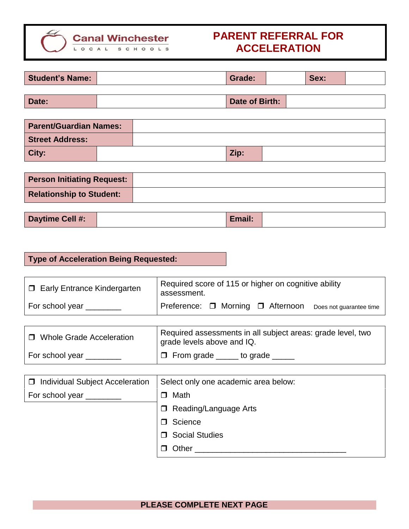

# **PARENT REFERRAL FOR ACCELERATION**

| <b>Student's Name:</b> | Grade:         | Sex: |  |
|------------------------|----------------|------|--|
|                        |                |      |  |
| Date:                  | Date of Birth: |      |  |

| <b>Parent/Guardian Names:</b> |  |      |  |
|-------------------------------|--|------|--|
| <b>Street Address:</b>        |  |      |  |
| City:                         |  | Zip: |  |

| <b>Person Initiating Request:</b> |  |
|-----------------------------------|--|
| <b>Relationship to Student:</b>   |  |

| <b>Daytime Cell #:</b><br>Email: |  |
|----------------------------------|--|
|----------------------------------|--|

## **Type of Acceleration Being Requested:**

| $\Box$ Early Entrance Kindergarten | Required score of 115 or higher on cognitive ability<br>assessment. |  |  |  |
|------------------------------------|---------------------------------------------------------------------|--|--|--|
| For school year                    | Preference: □ Morning □ Afternoon<br>Does not guarantee time        |  |  |  |

| □ Whole Grade Acceleration | Required assessments in all subject areas: grade level, two<br>grade levels above and IQ. |  |  |
|----------------------------|-------------------------------------------------------------------------------------------|--|--|
| For school year            | $\Box$ From grade<br>to grade                                                             |  |  |

| <b>Individual Subject Acceleration</b> | Select only one academic area below: |
|----------------------------------------|--------------------------------------|
| For school year ________               | Math                                 |
|                                        | $\Box$ Reading/Language Arts         |
|                                        | Science                              |
|                                        | □ Social Studies                     |
|                                        | Other                                |